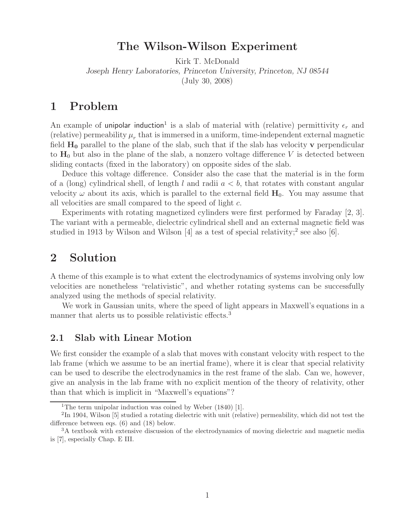# **The Wilson-Wilson Experiment**

Kirk T. McDonald *Joseph Henry Laboratories, Princeton University, Princeton, NJ 08544* (July 30, 2008)

## **1 Problem**

An example of unipolar induction<sup>1</sup> is a slab of material with (relative) permittivity  $\epsilon_r$  and (relative) permeability  $\mu_r$  that is immersed in a uniform, time-independent external magnetic field  $H_0$  parallel to the plane of the slab, such that if the slab has velocity **v** perpendicular to  $H_0$  but also in the plane of the slab, a nonzero voltage difference V is detected between sliding contacts (fixed in the laboratory) on opposite sides of the slab.

Deduce this voltage difference. Consider also the case that the material is in the form of a (long) cylindrical shell, of length l and radii  $a < b$ , that rotates with constant angular velocity  $\omega$  about its axis, which is parallel to the external field  $H_0$ . You may assume that all velocities are small compared to the speed of light c.

Experiments with rotating magnetized cylinders were first performed by Faraday [2, 3]. The variant with a permeable, dielectric cylindrical shell and an external magnetic field was studied in 1913 by Wilson and Wilson  $[4]$  as a test of special relativity;<sup>2</sup> see also  $[6]$ .

# **2 Solution**

A theme of this example is to what extent the electrodynamics of systems involving only low velocities are nonetheless "relativistic", and whether rotating systems can be successfully analyzed using the methods of special relativity.

We work in Gaussian units, where the speed of light appears in Maxwell's equations in a manner that alerts us to possible relativistic effects.<sup>3</sup>

## **2.1 Slab with Linear Motion**

We first consider the example of a slab that moves with constant velocity with respect to the lab frame (which we assume to be an inertial frame), where it is clear that special relativity can be used to describe the electrodynamics in the rest frame of the slab. Can we, however, give an analysis in the lab frame with no explicit mention of the theory of relativity, other than that which is implicit in "Maxwell's equations"?

<sup>&</sup>lt;sup>1</sup>The term unipolar induction was coined by Weber  $(1840)$  [1].

<sup>&</sup>lt;sup>2</sup>In 1904, Wilson [5] studied a rotating dielectric with unit (relative) permeability, which did not test the difference between eqs. (6) and (18) below.

<sup>&</sup>lt;sup>3</sup>A textbook with extensive discussion of the electrodynamics of moving dielectric and magnetic media is [7], especially Chap. E III.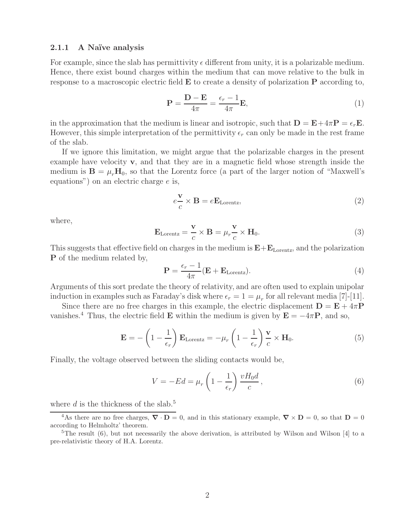### **2.1.1 A Na¨ıve analysis**

For example, since the slab has permittivity  $\epsilon$  different from unity, it is a polarizable medium. Hence, there exist bound charges within the medium that can move relative to the bulk in response to a macroscopic electric field **E** to create a density of polarization **P** according to,

$$
\mathbf{P} = \frac{\mathbf{D} - \mathbf{E}}{4\pi} = \frac{\epsilon_r - 1}{4\pi} \mathbf{E},\tag{1}
$$

in the approximation that the medium is linear and isotropic, such that  $\mathbf{D} = \mathbf{E} + 4\pi \mathbf{P} = \epsilon_r \mathbf{E}$ . However, this simple interpretation of the permittivity  $\epsilon_r$  can only be made in the rest frame of the slab.

If we ignore this limitation, we might argue that the polarizable charges in the present example have velocity **v**, and that they are in a magnetic field whose strength inside the medium is  $\mathbf{B} = \mu_r \mathbf{H}_0$ , so that the Lorentz force (a part of the larger notion of "Maxwell's equations") on an electric charge  $e$  is,

$$
e\frac{\mathbf{v}}{c} \times \mathbf{B} = e\mathbf{E}_{\text{Lorentz}},\tag{2}
$$

where,

$$
\mathbf{E}_{\text{Lorentz}} = \frac{\mathbf{v}}{c} \times \mathbf{B} = \mu_r \frac{\mathbf{v}}{c} \times \mathbf{H}_0.
$$
 (3)

This suggests that effective field on charges in the medium is  $E+E_{Lorentz}$ , and the polarization **P** of the medium related by,

$$
\mathbf{P} = \frac{\epsilon_r - 1}{4\pi} (\mathbf{E} + \mathbf{E}_{\text{Lorentz}}). \tag{4}
$$

Arguments of this sort predate the theory of relativity, and are often used to explain unipolar induction in examples such as Faraday's disk where  $\epsilon_r = 1 = \mu_r$  for all relevant media [7]-[11].

Since there are no free charges in this example, the electric displacement  $\mathbf{D} = \mathbf{E} + 4\pi \mathbf{P}$ vanishes.<sup>4</sup> Thus, the electric field **E** within the medium is given by  $\mathbf{E} = -4\pi\mathbf{P}$ , and so,

$$
\mathbf{E} = -\left(1 - \frac{1}{\epsilon_r}\right) \mathbf{E}_{\text{Lorentz}} = -\mu_r \left(1 - \frac{1}{\epsilon_r}\right) \frac{\mathbf{v}}{c} \times \mathbf{H}_0. \tag{5}
$$

Finally, the voltage observed between the sliding contacts would be,

$$
V = -Ed = \mu_r \left( 1 - \frac{1}{\epsilon_r} \right) \frac{vH_0 d}{c},\tag{6}
$$

where  $d$  is the thickness of the slab.<sup>5</sup>

<sup>&</sup>lt;sup>4</sup>As there are no free charges,  $\nabla \cdot \mathbf{D} = 0$ , and in this stationary example,  $\nabla \times \mathbf{D} = 0$ , so that  $\mathbf{D} = 0$ according to Helmholtz' theorem.

 $5$ The result (6), but not necessarily the above derivation, is attributed by Wilson and Wilson [4] to a pre-relativistic theory of H.A. Lorentz.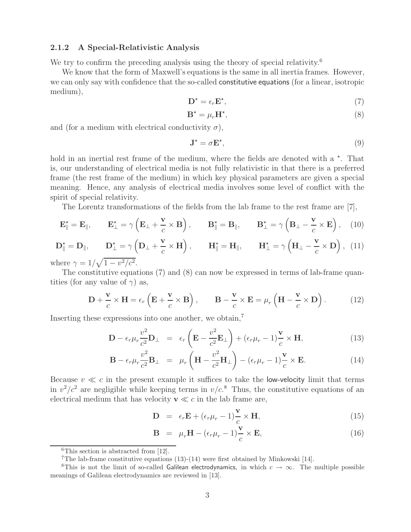### **2.1.2 A Special-Relativistic Analysis**

We try to confirm the preceding analysis using the theory of special relativity.<sup>6</sup>

We know that the form of Maxwell's equations is the same in all inertia frames. However, we can only say with confidence that the so-called constitutive equations (for a linear, isotropic medium),

$$
\mathbf{D}^* = \epsilon_r \mathbf{E}^*,\tag{7}
$$

$$
\mathbf{B}^* = \mu_r \mathbf{H}^*,\tag{8}
$$

and (for a medium with electrical conductivity  $\sigma$ ),

$$
\mathbf{J}^* = \sigma \mathbf{E}^*,\tag{9}
$$

hold in an inertial rest frame of the medium, where the fields are denoted with a  $\star$ . That is, our understanding of electrical media is not fully relativistic in that there is a preferred frame (the rest frame of the medium) in which key physical parameters are given a special meaning. Hence, any analysis of electrical media involves some level of conflict with the spirit of special relativity.

The Lorentz transformations of the fields from the lab frame to the rest frame are [7],

$$
\mathbf{E}_{\parallel}^{\star} = \mathbf{E}_{\parallel}, \qquad \mathbf{E}_{\perp}^{\star} = \gamma \left( \mathbf{E}_{\perp} + \frac{\mathbf{v}}{c} \times \mathbf{B} \right), \qquad \mathbf{B}_{\parallel}^{\star} = \mathbf{B}_{\parallel}, \qquad \mathbf{B}_{\perp}^{\star} = \gamma \left( \mathbf{B}_{\perp} - \frac{\mathbf{v}}{c} \times \mathbf{E} \right), \quad (10)
$$

$$
\mathbf{D}_{\parallel}^{\star} = \mathbf{D}_{\parallel}, \qquad \mathbf{D}_{\perp}^{\star} = \gamma \left( \mathbf{D}_{\perp} + \frac{\mathbf{v}}{c} \times \mathbf{H} \right), \qquad \mathbf{H}_{\parallel}^{\star} = \mathbf{H}_{\parallel}, \qquad \mathbf{H}_{\perp}^{\star} = \gamma \left( \mathbf{H}_{\perp} - \frac{\mathbf{v}}{c} \times \mathbf{D} \right), \tag{11}
$$

where  $\gamma = 1/\sqrt{1 - v^2/c^2}$ .

The constitutive equations (7) and (8) can now be expressed in terms of lab-frame quantities (for any value of  $\gamma$ ) as,

$$
\mathbf{D} + \frac{\mathbf{v}}{c} \times \mathbf{H} = \epsilon_r \left( \mathbf{E} + \frac{\mathbf{v}}{c} \times \mathbf{B} \right), \qquad \mathbf{B} - \frac{\mathbf{v}}{c} \times \mathbf{E} = \mu_r \left( \mathbf{H} - \frac{\mathbf{v}}{c} \times \mathbf{D} \right). \tag{12}
$$

Inserting these expressions into one another, we obtain,<sup>7</sup>

$$
\mathbf{D} - \epsilon_r \mu_r \frac{v^2}{c^2} \mathbf{D}_{\perp} = \epsilon_r \left( \mathbf{E} - \frac{v^2}{c^2} \mathbf{E}_{\perp} \right) + (\epsilon_r \mu_r - 1) \frac{\mathbf{v}}{c} \times \mathbf{H}, \qquad (13)
$$

$$
\mathbf{B} - \epsilon_r \mu_r \frac{v^2}{c^2} \mathbf{B}_{\perp} = \mu_r \left( \mathbf{H} - \frac{v^2}{c^2} \mathbf{H}_{\perp} \right) - \left( \epsilon_r \mu_r - 1 \right) \frac{\mathbf{v}}{c} \times \mathbf{E}.
$$
 (14)

Because  $v \ll c$  in the present example it suffices to take the low-velocity limit that terms in  $v^2/c^2$  are negligible while keeping terms in  $v/c$ .<sup>8</sup> Thus, the constitutive equations of an electrical medium that has velocity **v**  $\ll c$  in the lab frame are,

$$
\mathbf{D} = \epsilon_r \mathbf{E} + (\epsilon_r \mu_r - 1) \frac{\mathbf{v}}{c} \times \mathbf{H}, \tag{15}
$$

$$
\mathbf{B} = \mu_r \mathbf{H} - (\epsilon_r \mu_r - 1) \frac{\mathbf{v}}{c} \times \mathbf{E}, \qquad (16)
$$

 ${}^{6}$ This section is abstracted from [12].

<sup>&</sup>lt;sup>7</sup>The lab-frame constitutive equations  $(13)-(14)$  were first obtained by Minkowski [14].

<sup>&</sup>lt;sup>8</sup>This is not the limit of so-called Galilean electrodynamics, in which  $c \to \infty$ . The multiple possible meanings of Galilean electrodynamics are reviewed in [13].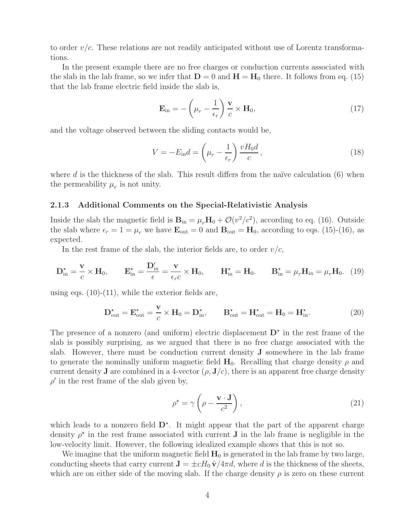to order  $v/c$ . These relations are not readily anticipated without use of Lorentz transformations.

In the present example there are no free charges or conduction currents associated with the slab in the lab frame, so we infer that  $D = 0$  and  $H = H_0$  there. It follows from eq. (15) that the lab frame electric field inside the slab is,

$$
\mathbf{E}_{\rm in} = -\left(\mu_r - \frac{1}{\epsilon_r}\right) \frac{\mathbf{v}}{c} \times \mathbf{H}_0, \tag{17}
$$

and the voltage observed between the sliding contacts would be,

$$
V = -E_{\rm in}d = \left(\mu_r - \frac{1}{\epsilon_r}\right) \frac{vH_0d}{c},\qquad(18)
$$

where  $d$  is the thickness of the slab. This result differs from the naïve calculation  $(6)$  when the permeability  $\mu_r$  is not unity.

### **2.1.3 Additional Comments on the Special-Relativistic Analysis**

Inside the slab the magnetic field is  $\mathbf{B}_{in} = \mu_r \mathbf{H}_0 + \mathcal{O}(v^2/c^2)$ , according to eq. (16). Outside the slab where  $\epsilon_r = 1 = \mu_r$  we have  $\mathbf{E}_{\text{out}} = 0$  and  $\mathbf{B}_{\text{out}} = \mathbf{H}_0$ , according to eqs. (15)-(16), as expected.

In the rest frame of the slab, the interior fields are, to order  $v/c$ ,

$$
\mathbf{D}_{\text{in}}^{\star} = \frac{\mathbf{v}}{c} \times \mathbf{H}_0, \qquad \mathbf{E}_{\text{in}}^{\star} = \frac{\mathbf{D}_{\text{in}}'}{\epsilon} = \frac{\mathbf{v}}{\epsilon_r c} \times \mathbf{H}_0, \qquad \mathbf{H}_{\text{in}}^{\star} = \mathbf{H}_0. \qquad \mathbf{B}_{\text{in}}^{\star} = \mu_r \mathbf{H}_{\text{in}} = \mu_r \mathbf{H}_0. \tag{19}
$$

using eqs.  $(10)-(11)$ , while the exterior fields are,

$$
\mathbf{D}_{\text{out}}^{\star} = \mathbf{E}_{\text{out}}^{\star} = \frac{\mathbf{v}}{c} \times \mathbf{H}_0 = \mathbf{D}_{\text{in}}^{\star}, \qquad \mathbf{B}_{\text{out}}^{\star} = \mathbf{H}_{\text{out}}^{\star} = \mathbf{H}_0 = \mathbf{H}_{\text{in}}^{\star}.
$$
 (20)

The presence of a nonzero (and uniform) electric displacement  $D^*$  in the rest frame of the slab is possibly surprising, as we argued that there is no free charge associated with the slab. However, there must be conduction current density **J** somewhere in the lab frame to generate the nominally uniform magnetic field  $H_0$ . Recalling that charge density  $\rho$  and current density **J** are combined in a 4-vector  $(\rho, \mathbf{J}/c)$ , there is an apparent free charge density  $\rho'$  in the rest frame of the slab given by,

$$
\rho^* = \gamma \left( \rho - \frac{\mathbf{v} \cdot \mathbf{J}}{c^2} \right),\tag{21}
$$

which leads to a nonzero field  $D^*$ . It might appear that the part of the apparent charge density  $\rho^*$  in the rest frame associated with current **J** in the lab frame is negligible in the low-velocity limit. However, the following idealized example shows that this is not so.

We imagine that the uniform magnetic field  $H_0$  is generated in the lab frame by two large, conducting sheets that carry current  $J = \pm cH_0 \hat{v}/4\pi d$ , where d is the thickness of the sheets, which are on either side of the moving slab. If the charge density  $\rho$  is zero on these current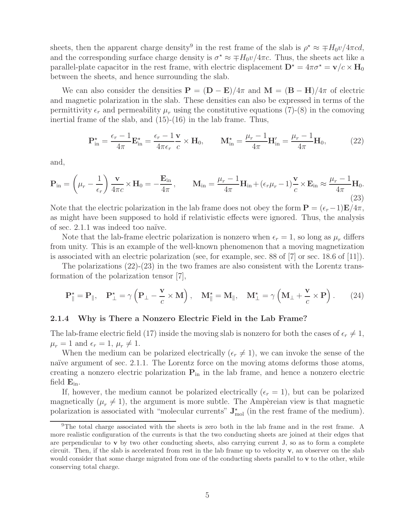sheets, then the apparent charge density<sup>9</sup> in the rest frame of the slab is  $\rho^* \approx \mp H_0 v / 4 \pi c d$ , and the corresponding surface charge density is  $\sigma^* \approx \mp H_0 v / 4\pi c$ . Thus, the sheets act like a parallel-plate capacitor in the rest frame, with electric displacement  $\mathbf{D}^* = 4\pi\sigma^* = \mathbf{v}/c \times \mathbf{H}_0$ between the sheets, and hence surrounding the slab.

We can also consider the densities  $P = (D - E)/4\pi$  and  $M = (B - H)/4\pi$  of electric and magnetic polarization in the slab. These densities can also be expressed in terms of the permittivity  $\epsilon_r$  and permeability  $\mu_r$  using the constitutive equations (7)-(8) in the comoving inertial frame of the slab, and (15)-(16) in the lab frame. Thus,

$$
\mathbf{P}_{\text{in}}^{\star} = \frac{\epsilon_r - 1}{4\pi} \mathbf{E}_{\text{in}}^{\star} = \frac{\epsilon_r - 1}{4\pi \epsilon_r} \frac{\mathbf{v}}{c} \times \mathbf{H}_0, \qquad \mathbf{M}_{\text{in}}^{\star} = \frac{\mu_r - 1}{4\pi} \mathbf{H}_{\text{in}}' = \frac{\mu_r - 1}{4\pi} \mathbf{H}_0,
$$
 (22)

and,

$$
\mathbf{P}_{\rm in} = \left(\mu_r - \frac{1}{\epsilon_r}\right) \frac{\mathbf{v}}{4\pi c} \times \mathbf{H}_0 = -\frac{\mathbf{E}_{\rm in}}{4\pi}, \qquad \mathbf{M}_{\rm in} = \frac{\mu_r - 1}{4\pi} \mathbf{H}_{\rm in} + (\epsilon_r \mu_r - 1) \frac{\mathbf{v}}{c} \times \mathbf{E}_{\rm in} \approx \frac{\mu_r - 1}{4\pi} \mathbf{H}_0.
$$
\n(23)

Note that the electric polarization in the lab frame does not obey the form  $\mathbf{P} = (\epsilon_r - 1)\mathbf{E}/4\pi$ , as might have been supposed to hold if relativistic effects were ignored. Thus, the analysis of sec. 2.1.1 was indeed too na¨ıve.

Note that the lab-frame electric polarization is nonzero when  $\epsilon_r = 1$ , so long as  $\mu_r$  differs from unity. This is an example of the well-known phenomenon that a moving magnetization is associated with an electric polarization (see, for example, sec. 88 of [7] or sec. 18.6 of [11]).

The polarizations  $(22)-(23)$  in the two frames are also consistent with the Lorentz transformation of the polarization tensor [7],

$$
\mathbf{P}_{\parallel}^{\star} = \mathbf{P}_{\parallel}, \quad \mathbf{P}_{\perp}^{\star} = \gamma \left( \mathbf{P}_{\perp} - \frac{\mathbf{v}}{c} \times \mathbf{M} \right), \quad \mathbf{M}_{\parallel}^{\star} = \mathbf{M}_{\parallel}, \quad \mathbf{M}_{\perp}^{\star} = \gamma \left( \mathbf{M}_{\perp} + \frac{\mathbf{v}}{c} \times \mathbf{P} \right). \tag{24}
$$

### **2.1.4 Why is There a Nonzero Electric Field in the Lab Frame?**

The lab-frame electric field (17) inside the moving slab is nonzero for both the cases of  $\epsilon_r \neq 1$ ,  $\mu_r = 1$  and  $\epsilon_r = 1, \mu_r \neq 1.$ 

When the medium can be polarized electrically  $(\epsilon_r \neq 1)$ , we can invoke the sense of the naïve argument of sec. 2.1.1. The Lorentz force on the moving atoms deforms those atoms, creating a nonzero electric polarization **P**in in the lab frame, and hence a nonzero electric field **E**in.

If, however, the medium cannot be polarized electrically  $(\epsilon_r = 1)$ , but can be polarized magnetically  $(\mu_r \neq 1)$ , the argument is more subtle. The Ampèreian view is that magnetic polarization is associated with "molecular currents"  $J_{mol}^{\star}$  (in the rest frame of the medium).

<sup>9</sup>The total charge associated with the sheets is zero both in the lab frame and in the rest frame. A more realistic configuration of the currents is that the two conducting sheets are joined at their edges that are perpendicular to  $\bf{v}$  by two other conducting sheets, also carrying current J, so as to form a complete circuit. Then, if the slab is accelerated from rest in the lab frame up to velocity **v**, an observer on the slab would consider that some charge migrated from one of the conducting sheets parallel to **v** to the other, while conserving total charge.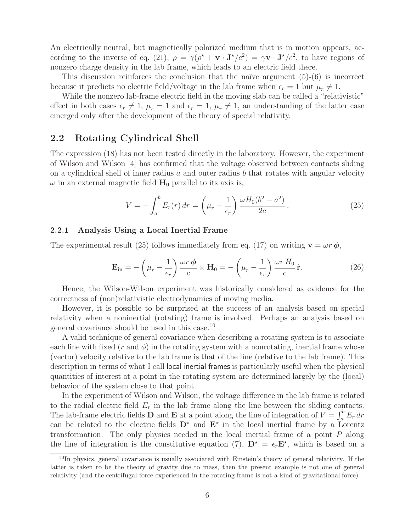An electrically neutral, but magnetically polarized medium that is in motion appears, according to the inverse of eq. (21),  $\rho = \gamma(\rho^* + \mathbf{v} \cdot \mathbf{J}^*/c^2) = \gamma \mathbf{v} \cdot \mathbf{J}^*/c^2$ , to have regions of nonzero charge density in the lab frame, which leads to an electric field there.

This discussion reinforces the conclusion that the naïve argument  $(5)-(6)$  is incorrect because it predicts no electric field/voltage in the lab frame when  $\epsilon_r = 1$  but  $\mu_r \neq 1$ .

While the nonzero lab-frame electric field in the moving slab can be called a "relativistic" effect in both cases  $\epsilon_r \neq 1$ ,  $\mu_r = 1$  and  $\epsilon_r = 1$ ,  $\mu_r \neq 1$ , an understanding of the latter case emerged only after the development of the theory of special relativity.

## **2.2 Rotating Cylindrical Shell**

The expression (18) has not been tested directly in the laboratory. However, the experiment of Wilson and Wilson [4] has confirmed that the voltage observed between contacts sliding on a cylindrical shell of inner radius  $a$  and outer radius  $b$  that rotates with angular velocity  $\omega$  in an external magnetic field  $H_0$  parallel to its axis is,

$$
V = -\int_{a}^{b} E_r(r) dr = \left(\mu_r - \frac{1}{\epsilon_r}\right) \frac{\omega H_0(b^2 - a^2)}{2c}.
$$
 (25)

### **2.2.1 Analysis Using a Local Inertial Frame**

The experimental result (25) follows immediately from eq. (17) on writing  $\mathbf{v} = \omega r \phi$ ,

$$
\mathbf{E}_{\rm in} = -\left(\mu_r - \frac{1}{\epsilon_r}\right) \frac{\omega r \, \phi}{c} \times \mathbf{H}_0 = -\left(\mu_r - \frac{1}{\epsilon_r}\right) \frac{\omega r \, H_0}{c} \hat{\mathbf{r}}.
$$
 (26)

Hence, the Wilson-Wilson experiment was historically considered as evidence for the correctness of (non)relativistic electrodynamics of moving media.

However, it is possible to be surprised at the success of an analysis based on special relativity when a noninertial (rotating) frame is involved. Perhaps an analysis based on general covariance should be used in this case.<sup>10</sup>

A valid technique of general covariance when describing a rotating system is to associate each line with fixed (r and  $\phi$ ) in the rotating system with a nonrotating, inertial frame whose (vector) velocity relative to the lab frame is that of the line (relative to the lab frame). This description in terms of what I call local inertial frames is particularly useful when the physical quantities of interest at a point in the rotating system are determined largely by the (local) behavior of the system close to that point.

In the experiment of Wilson and Wilson, the voltage difference in the lab frame is related to the radial electric field  $E_r$  in the lab frame along the line between the sliding contacts. The lab-frame electric fields **D** and **E** at a point along the line of integration of  $V = \int_a^b E_r dr$ can be related to the electric fields  $D^*$  and  $E^*$  in the local inertial frame by a Lorentz transformation. The only physics needed in the local inertial frame of a point P along the line of integration is the constitutive equation (7),  $\mathbf{D}^* = \epsilon_r \mathbf{E}^*$ , which is based on a

<sup>&</sup>lt;sup>10</sup>In physics, general covariance is usually associated with Einstein's theory of general relativity. If the latter is taken to be the theory of gravity due to mass, then the present example is not one of general relativity (and the centrifugal force experienced in the rotating frame is not a kind of gravitational force).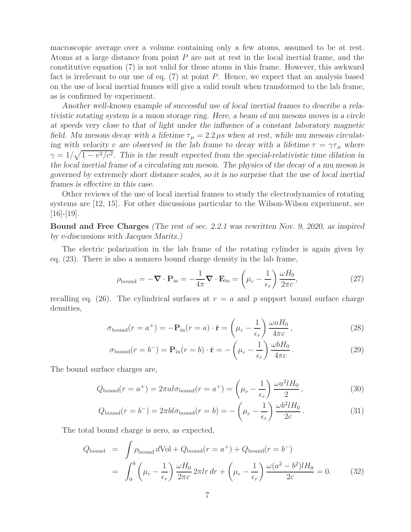macroscopic average over a volume containing only a few atoms, assumed to be at rest. Atoms at a large distance from point P are not at rest in the local inertial frame, and the constitutive equation (7) is not valid for those atoms in this frame. However, this awkward fact is irrelevant to our use of eq.  $(7)$  at point P. Hence, we expect that an analysis based on the use of local inertial frames will give a valid result when transformed to the lab frame, as is confirmed by experiment.

*Another well-known example of successful use of local inertial frames to describe a relativistic rotating system is a muon storage ring. Here, a beam of mu mesons moves in a circle at speeds very close to that of light under the influence of a constant laboratory magnetic field.* Mu mesons decay with a lifetime  $\tau_{\mu} = 2.2 \,\mu s$  when at rest, while mu mesons circulat*ing with velocity v* are observed in the lab frame to decay with a lifetime  $\tau = \gamma \tau_{\mu}$  where  $\gamma = 1/\sqrt{1 - v^2/c^2}$ . This is the result expected from the special-relativistic time dilation in *the local inertial frame of a circulating mu meson. The physics of the decay of a mu meson is governed by extremely short distance scales, so it is no surprise that the use of local inertial frames is effective in this case.*

Other reviews of the use of local inertial frames to study the electrodynamics of rotating systems are [12, 15]. For other discussions particular to the Wilson-Wilson experiment, see  $[16]-[19]$ .

**Bound and Free Charges** *(The rest of sec. 2.2.1 was rewritten Nov. 9, 2020, as inspired by e-discussions with Jacques Maritz.)*

The electric polarization in the lab frame of the rotating cylinder is again given by eq. (23). There is also a nonzero bound charge density in the lab frame,

$$
\rho_{\text{bound}} = -\nabla \cdot \mathbf{P}_{\text{in}} = -\frac{1}{4\pi} \nabla \cdot \mathbf{E}_{\text{in}} = \left(\mu_r - \frac{1}{\epsilon_r}\right) \frac{\omega H_0}{2\pi c},\tag{27}
$$

recalling eq. (26). The cylindrical surfaces at  $r = a$  and p support bound surface charge densities,

$$
\sigma_{\text{bound}}(r = a^+) = -\mathbf{P}_{\text{in}}(r = a) \cdot \hat{\mathbf{r}} = \left(\mu_r - \frac{1}{\epsilon_r}\right) \frac{\omega a H_0}{4\pi c},\tag{28}
$$

$$
\sigma_{\text{bound}}(r = b^{-}) = \mathbf{P}_{\text{in}}(r = b) \cdot \hat{\mathbf{r}} = -\left(\mu_r - \frac{1}{\epsilon_r}\right) \frac{\omega b H_0}{4\pi c}.
$$
\n(29)

The bound surface charges are,

$$
Q_{\text{bound}}(r = a^+) = 2\pi a l \sigma_{\text{bound}}(r = a^+) = \left(\mu_r - \frac{1}{\epsilon_r}\right) \frac{\omega a^2 l H_0}{2},\tag{30}
$$

$$
Q_{\text{bound}}(r = b^{-}) = 2\pi bl \sigma_{\text{bound}}(r = b) = -\left(\mu_r - \frac{1}{\epsilon_r}\right) \frac{\omega b^2 l H_0}{2c}.
$$
 (31)

The total bound charge is zero, as expected,

$$
Q_{\text{bound}} = \int \rho_{\text{bound}} d\text{Vol} + Q_{\text{bound}}(r = a^{+}) + Q_{\text{bound}}(r = b^{-})
$$
  
= 
$$
\int_{0}^{b} \left(\mu_{r} - \frac{1}{\epsilon_{r}}\right) \frac{\omega H_{0}}{2\pi c} 2\pi lr dr + \left(\mu_{r} - \frac{1}{\epsilon_{r}}\right) \frac{\omega(a^{2} - b^{2})lH_{0}}{2c} = 0.
$$
 (32)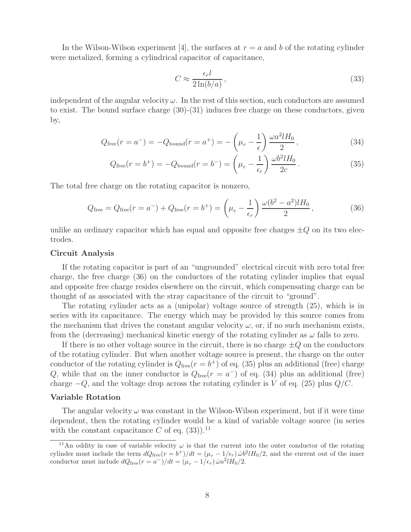In the Wilson-Wilson experiment [4], the surfaces at  $r = a$  and b of the rotating cylinder were metalized, forming a cylindrical capacitor of capacitance,

$$
C \approx \frac{\epsilon_r l}{2\ln(b/a)},\tag{33}
$$

independent of the angular velocity  $\omega$ . In the rest of this section, such conductors are assumed to exist. The bound surface charge (30)-(31) induces free charge on these conductors, given by,

$$
Q_{\text{free}}(r = a^{-}) = -Q_{\text{bound}}(r = a^{+}) = -\left(\mu_r - \frac{1}{\epsilon}\right) \frac{\omega a^2 l H_0}{2},\tag{34}
$$

$$
Q_{\text{free}}(r = b^{+}) = -Q_{\text{bound}}(r = b^{-}) = \left(\mu_r - \frac{1}{\epsilon_r}\right) \frac{\omega b^2 l H_0}{2c}.
$$
\n(35)

The total free charge on the rotating capacitor is nonzero,

$$
Q_{\text{free}} = Q_{\text{free}}(r = a^{-}) + Q_{\text{free}}(r = b^{+}) = \left(\mu_{r} - \frac{1}{\epsilon_{r}}\right) \frac{\omega(b^{2} - a^{2})lH_{0}}{2},\tag{36}
$$

unlike an ordinary capacitor which has equal and opposite free charges  $\pm Q$  on its two electrodes.

#### **Circuit Analysis**

If the rotating capacitor is part of an "ungrounded" electrical circuit with zero total free charge, the free charge (36) on the conductors of the rotating cylinder implies that equal and opposite free charge resides elsewhere on the circuit, which compensating charge can be thought of as associated with the stray capacitance of the circuit to "ground".

The rotating cylinder acts as a (unipolar) voltage source of strength (25), which is in series with its capacitance. The energy which may be provided by this source comes from the mechanism that drives the constant angular velocity  $\omega$ , or, if no such mechanism exists, from the (decreasing) mechanical kinetic energy of the rotating cylinder as  $\omega$  falls to zero.

If there is no other voltage source in the circuit, there is no charge  $\pm Q$  on the conductors of the rotating cylinder. But when another voltage source is present, the charge on the outer conductor of the rotating cylinder is  $Q_{\text{free}}(r = b^+)$  of eq. (35) plus an additional (free) charge Q, while that on the inner conductor is  $Q_{\text{free}}(r = a^{-})$  of eq. (34) plus an additional (free) charge  $-Q$ , and the voltage drop across the rotating cylinder is V of eq. (25) plus  $Q/C$ .

#### **Variable Rotation**

The angular velocity  $\omega$  was constant in the Wilson-Wilson experiment, but if it were time dependent, then the rotating cylinder would be a kind of variable voltage source (in series with the constant capacitance C of eq.  $(33)$ .<sup>11</sup>

<sup>&</sup>lt;sup>11</sup>An oddity in case of variable velocity  $\omega$  is that the current into the outer conductor of the rotating cylinder must include the term  $dQ_{\text{free}}(r = b^+)/dt = (\mu_r - 1/\epsilon_r) \dot{\omega} b^2 l H_0/2$ , and the current out of the inner conductor must include  $dQ_{\text{free}}(r = a^-)/dt = (\mu_r - 1/\epsilon_r) \dot{\omega} a^2 l H_0/2.$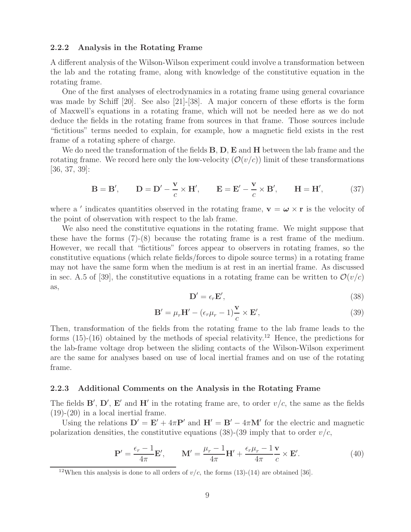### **2.2.2 Analysis in the Rotating Frame**

A different analysis of the Wilson-Wilson experiment could involve a transformation between the lab and the rotating frame, along with knowledge of the constitutive equation in the rotating frame.

One of the first analyses of electrodynamics in a rotating frame using general covariance was made by Schiff [20]. See also [21]-[38]. A major concern of these efforts is the form of Maxwell's equations in a rotating frame, which will not be needed here as we do not deduce the fields in the rotating frame from sources in that frame. Those sources include "fictitious" terms needed to explain, for example, how a magnetic field exists in the rest frame of a rotating sphere of charge.

We do need the transformation of the fields **B**, **D**, **E** and **H** between the lab frame and the rotating frame. We record here only the low-velocity  $(\mathcal{O}(v/c))$  limit of these transformations [36, 37, 39]:

$$
\mathbf{B} = \mathbf{B}', \qquad \mathbf{D} = \mathbf{D}' - \frac{\mathbf{v}}{c} \times \mathbf{H}', \qquad \mathbf{E} = \mathbf{E}' - \frac{\mathbf{v}}{c} \times \mathbf{B}', \qquad \mathbf{H} = \mathbf{H}', \tag{37}
$$

where a ' indicates quantities observed in the rotating frame,  $\mathbf{v} = \boldsymbol{\omega} \times \mathbf{r}$  is the velocity of the point of observation with respect to the lab frame.

We also need the constitutive equations in the rotating frame. We might suppose that these have the forms  $(7)-(8)$  because the rotating frame is a rest frame of the medium. However, we recall that "fictitious" forces appear to observers in rotating frames, so the constitutive equations (which relate fields/forces to dipole source terms) in a rotating frame may not have the same form when the medium is at rest in an inertial frame. As discussed in sec. A.5 of [39], the constitutive equations in a rotating frame can be written to  $\mathcal{O}(v/c)$ as,

$$
\mathbf{D}' = \epsilon_r \mathbf{E}',\tag{38}
$$

$$
\mathbf{B}' = \mu_r \mathbf{H}' - (\epsilon_r \mu_r - 1) \frac{\mathbf{v}}{c} \times \mathbf{E}',\tag{39}
$$

Then, transformation of the fields from the rotating frame to the lab frame leads to the forms  $(15)-(16)$  obtained by the methods of special relativity.<sup>12</sup> Hence, the predictions for the lab-frame voltage drop between the sliding contacts of the Wilson-Wilson experiment are the same for analyses based on use of local inertial frames and on use of the rotating frame.

### **2.2.3 Additional Comments on the Analysis in the Rotating Frame**

The fields  $\mathbf{B}'$ ,  $\mathbf{D}'$ ,  $\mathbf{E}'$  and  $\mathbf{H}'$  in the rotating frame are, to order  $v/c$ , the same as the fields  $(19)-(20)$  in a local inertial frame.

Using the relations  $D' = E' + 4\pi P'$  and  $H' = B' - 4\pi M'$  for the electric and magnetic polarization densities, the constitutive equations (38)-(39 imply that to order  $v/c$ ,

$$
\mathbf{P}' = \frac{\epsilon_r - 1}{4\pi} \mathbf{E}', \qquad \mathbf{M}' = \frac{\mu_r - 1}{4\pi} \mathbf{H}' + \frac{\epsilon_r \mu_r - 1}{4\pi} \frac{\mathbf{v}}{c} \times \mathbf{E}'. \tag{40}
$$

<sup>&</sup>lt;sup>12</sup>When this analysis is done to all orders of  $v/c$ , the forms (13)-(14) are obtained [36].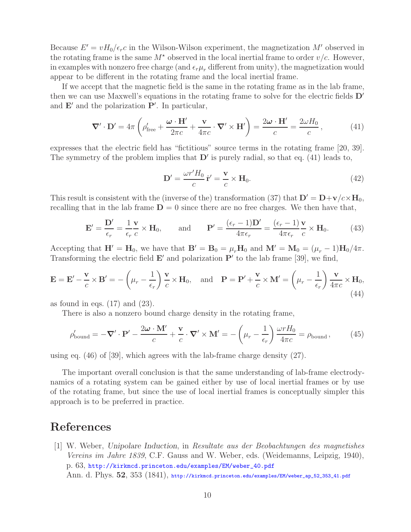Because  $E' = vH_0/\epsilon_r c$  in the Wilson-Wilson experiment, the magnetization M' observed in the rotating frame is the same  $M^*$  observed in the local inertial frame to order  $v/c$ . However, in examples with nonzero free charge (and  $\epsilon_r \mu_r$  different from unity), the magnetization would appear to be different in the rotating frame and the local inertial frame.

If we accept that the magnetic field is the same in the rotating frame as in the lab frame, then we can use Maxwell's equations in the rotating frame to solve for the electric fields **D** and  $\mathbf{E}'$  and the polarization  $\mathbf{P}'$ . In particular,

$$
\nabla' \cdot \mathbf{D}' = 4\pi \left( \rho'_{\text{free}} + \frac{\boldsymbol{\omega} \cdot \mathbf{H}'}{2\pi c} + \frac{\mathbf{v}}{4\pi c} \cdot \nabla' \times \mathbf{H}' \right) = \frac{2\boldsymbol{\omega} \cdot \mathbf{H}'}{c} = \frac{2\omega H_0}{c},\tag{41}
$$

expresses that the electric field has "fictitious" source terms in the rotating frame [20, 39]. The symmetry of the problem implies that  $D'$  is purely radial, so that eq. (41) leads to,

$$
\mathbf{D}' = \frac{\omega r'H_0}{c}\,\hat{\mathbf{r}}' = \frac{\mathbf{v}}{c} \times \mathbf{H}_0. \tag{42}
$$

This result is consistent with the (inverse of the) transformation (37) that  $\mathbf{D}' = \mathbf{D} + \mathbf{v}/c \times \mathbf{H}_0$ , recalling that in the lab frame  $D = 0$  since there are no free charges. We then have that,

$$
\mathbf{E}' = \frac{\mathbf{D}'}{\epsilon_r} = \frac{1}{\epsilon_r} \frac{\mathbf{v}}{c} \times \mathbf{H}_0, \quad \text{and} \quad \mathbf{P}' = \frac{(\epsilon_r - 1)\mathbf{D}'}{4\pi\epsilon_r} = \frac{(\epsilon_r - 1)}{4\pi\epsilon_r} \frac{\mathbf{v}}{c} \times \mathbf{H}_0. \quad (43)
$$

Accepting that  $\mathbf{H}' = \mathbf{H}_0$ , we have that  $\mathbf{B}' = \mathbf{B}_0 = \mu_r \mathbf{H}_0$  and  $\mathbf{M}' = \mathbf{M}_0 = (\mu_r - 1) \mathbf{H}_0 / 4\pi$ . Transforming the electric field  $\mathbf{E}'$  and polarization  $\mathbf{P}'$  to the lab frame [39], we find,

$$
\mathbf{E} = \mathbf{E}' - \frac{\mathbf{v}}{c} \times \mathbf{B}' = -\left(\mu_r - \frac{1}{\epsilon_r}\right) \frac{\mathbf{v}}{c} \times \mathbf{H}_0, \text{ and } \mathbf{P} = \mathbf{P}' + \frac{\mathbf{v}}{c} \times \mathbf{M}' = \left(\mu_r - \frac{1}{\epsilon_r}\right) \frac{\mathbf{v}}{4\pi c} \times \mathbf{H}_0,
$$
\n(44)

as found in eqs.  $(17)$  and  $(23)$ .

There is also a nonzero bound charge density in the rotating frame,

$$
\rho'_{\text{bound}} = -\nabla' \cdot \mathbf{P}' - \frac{2\omega \cdot \mathbf{M}'}{c} + \frac{\mathbf{v}}{c} \cdot \nabla' \times \mathbf{M}' = -\left(\mu_r - \frac{1}{\epsilon_r}\right) \frac{\omega r H_0}{4\pi c} = \rho_{\text{bound}},\tag{45}
$$

using eq.  $(46)$  of [39], which agrees with the lab-frame charge density  $(27)$ .

The important overall conclusion is that the same understanding of lab-frame electrodynamics of a rotating system can be gained either by use of local inertial frames or by use of the rotating frame, but since the use of local inertial frames is conceptually simpler this approach is to be preferred in practice.

# **References**

[1] W. Weber, *Unipolare Induction*, in *Resultate aus der Beobachtungen des magnetishes Vereins im Jahre 1839*, C.F. Gauss and W. Weber, eds. (Weidemanns, Leipzig, 1940), p. 63, http://kirkmcd.princeton.edu/examples/EM/weber\_40.pdf Ann. d. Phys. **52**, 353 (1841), http://kirkmcd.princeton.edu/examples/EM/weber\_ap\_52\_353\_41.pdf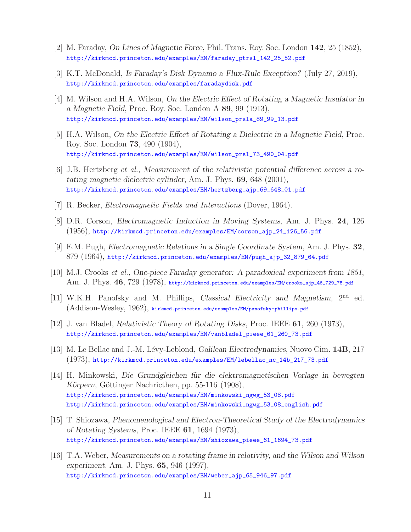- [2] M. Faraday, *On Lines of Magnetic Force*, Phil. Trans. Roy. Soc. London **142**, 25 (1852), http://kirkmcd.princeton.edu/examples/EM/faraday\_ptrsl\_142\_25\_52.pdf
- [3] K.T. McDonald, *Is Faraday's Disk Dynamo a Flux-Rule Exception?* (July 27, 2019), http://kirkmcd.princeton.edu/examples/faradaydisk.pdf
- [4] M. Wilson and H.A. Wilson, *On the Electric Effect of Rotating a Magnetic Insulator in a Magnetic Field*, Proc. Roy. Soc. London A **89**, 99 (1913), http://kirkmcd.princeton.edu/examples/EM/wilson\_prsla\_89\_99\_13.pdf
- [5] H.A. Wilson, *On the Electric Effect of Rotating a Dielectric in a Magnetic Field*, Proc. Roy. Soc. London **73**, 490 (1904), http://kirkmcd.princeton.edu/examples/EM/wilson\_prsl\_73\_490\_04.pdf
- [6] J.B. Hertzberg *et al.*, *Measurement of the relativistic potential difference across a rotating magnetic dielectric cylinder*, Am. J. Phys. **69**, 648 (2001), http://kirkmcd.princeton.edu/examples/EM/hertzberg\_ajp\_69\_648\_01.pdf
- [7] R. Becker, *Electromagnetic Fields and Interactions* (Dover, 1964).
- [8] D.R. Corson, *Electromagnetic Induction in Moving Systems*, Am. J. Phys. **24**, 126 (1956), http://kirkmcd.princeton.edu/examples/EM/corson\_ajp\_24\_126\_56.pdf
- [9] E.M. Pugh, *Electromagnetic Relations in a Single Coordinate System*, Am. J. Phys. **32**, 879 (1964), http://kirkmcd.princeton.edu/examples/EM/pugh\_ajp\_32\_879\_64.pdf
- [10] M.J. Crooks *et al.*, *One-piece Faraday generator: A paradoxical experiment from 1851*, Am. J. Phys. **46**, 729 (1978), http://kirkmcd.princeton.edu/examples/EM/crooks\_ajp\_46\_729\_78.pdf
- [11] W.K.H. Panofsky and M. Phillips, *Classical Electricity and Magnetism*, 2nd ed. (Addison-Wesley, 1962), kirkmcd.princeton.edu/examples/EM/panofsky-phillips.pdf
- [12] J. van Bladel, *Relativistic Theory of Rotating Disks*, Proc. IEEE **61**, 260 (1973), http://kirkmcd.princeton.edu/examples/EM/vanbladel\_pieee\_61\_260\_73.pdf
- [13] M. Le Bellac and J.-M. L´evy-Leblond, *Galilean Electrodynamics*, Nuovo Cim. **14B**, 217 (1973), http://kirkmcd.princeton.edu/examples/EM/lebellac\_nc\_14b\_217\_73.pdf
- [14] H. Minkowski, *Die Grundgleichen f¨ur die elektromagnetischen Vorlage in bewegten Körpern*, Göttinger Nachricthen, pp. 55-116 (1908), http://kirkmcd.princeton.edu/examples/EM/minkowski\_ngwg\_53\_08.pdf http://kirkmcd.princeton.edu/examples/EM/minkowski\_ngwg\_53\_08\_english.pdf
- [15] T. Shiozawa, *Phenomenological and Electron-Theoretical Study of the Electrodynamics of Rotating Systems*, Proc. IEEE **61**, 1694 (1973), http://kirkmcd.princeton.edu/examples/EM/shiozawa\_pieee\_61\_1694\_73.pdf
- [16] T.A. Weber, *Measurements on a rotating frame in relativity, and the Wilson and Wilson experiment*, Am. J. Phys. **65**, 946 (1997), http://kirkmcd.princeton.edu/examples/EM/weber\_ajp\_65\_946\_97.pdf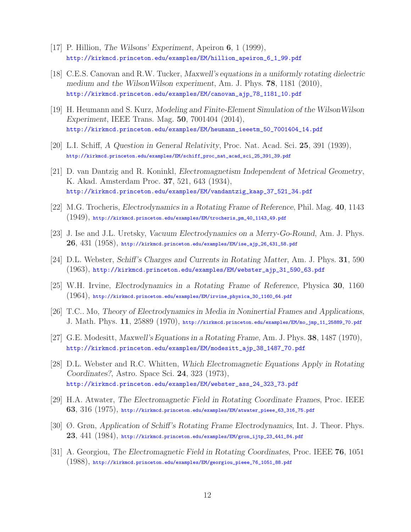- [17] P. Hillion, *The Wilsons' Experiment*, Apeiron **6**, 1 (1999), http://kirkmcd.princeton.edu/examples/EM/hillion\_apeiron\_6\_1\_99.pdf
- [18] C.E.S. Canovan and R.W. Tucker, *Maxwell's equations in a uniformly rotating dielectric medium and the WilsonWilson experiment*, Am. J. Phys. **78**, 1181 (2010), http://kirkmcd.princeton.edu/examples/EM/canovan\_ajp\_78\_1181\_10.pdf
- [19] H. Heumann and S. Kurz, *Modeling and Finite-Element Simulation of the WilsonWilson Experiment*, IEEE Trans. Mag. **50**, 7001404 (2014), http://kirkmcd.princeton.edu/examples/EM/heumann\_ieeetm\_50\_7001404\_14.pdf
- [20] L.I. Schiff, *A Question in General Relativity*, Proc. Nat. Acad. Sci. **25**, 391 (1939), http://kirkmcd.princeton.edu/examples/EM/schiff\_proc\_nat\_acad\_sci\_25\_391\_39.pdf
- [21] D. van Dantzig and R. Koninkl, *Electromagnetism Independent of Metrical Geometry*, K. Akad. Amsterdam Proc. **37**, 521, 643 (1934), http://kirkmcd.princeton.edu/examples/EM/vandantzig\_kaap\_37\_521\_34.pdf
- [22] M.G. Trocheris, *Electrodynamics in a Rotating Frame of Reference*, Phil. Mag. **40**, 1143 (1949), http://kirkmcd.princeton.edu/examples/EM/trocheris\_pm\_40\_1143\_49.pdf
- [23] J. Ise and J.L. Uretsky, *Vacuum Electrodynamics on a Merry-Go-Round*, Am. J. Phys. **26**, 431 (1958), http://kirkmcd.princeton.edu/examples/EM/ise\_ajp\_26\_431\_58.pdf
- [24] D.L. Webster, *Schiff's Charges and Currents in Rotating Matter*, Am. J. Phys. **31**, 590 (1963), http://kirkmcd.princeton.edu/examples/EM/webster\_ajp\_31\_590\_63.pdf
- [25] W.H. Irvine, *Electrodynamics in a Rotating Frame of Reference*, Physica **30**, 1160 (1964), http://kirkmcd.princeton.edu/examples/EM/irvine\_physica\_30\_1160\_64.pdf
- [26] T.C.. Mo, *Theory of Electrodynamics in Media in Noninertial Frames and Applications*, J. Math. Phys. **11**, 25889 (1970), http://kirkmcd.princeton.edu/examples/EM/mo\_jmp\_11\_25889\_70.pdf
- [27] G.E. Modesitt, *Maxwell's Equations in a Rotating Frame*, Am. J. Phys. **38**, 1487 (1970), http://kirkmcd.princeton.edu/examples/EM/modesitt\_ajp\_38\_1487\_70.pdf
- [28] D.L. Webster and R.C. Whitten, *Which Electromagnetic Equations Apply in Rotating Coordinates?*, Astro. Space Sci. **24**, 323 (1973), http://kirkmcd.princeton.edu/examples/EM/webster\_ass\_24\_323\_73.pdf
- [29] H.A. Atwater, *The Electromagnetic Field in Rotating Coordinate Frames*, Proc. IEEE **63**, 316 (1975), http://kirkmcd.princeton.edu/examples/EM/atwater\_pieee\_63\_316\_75.pdf
- [30] Ø. Grøn, *Application of Schiff's Rotating Frame Electrodynamics*, Int. J. Theor. Phys. **23**, 441 (1984), http://kirkmcd.princeton.edu/examples/EM/gron\_ijtp\_23\_441\_84.pdf
- [31] A. Georgiou, *The Electromagnetic Field in Rotating Coordinates*, Proc. IEEE **76**, 1051 (1988), http://kirkmcd.princeton.edu/examples/EM/georgiou\_pieee\_76\_1051\_88.pdf